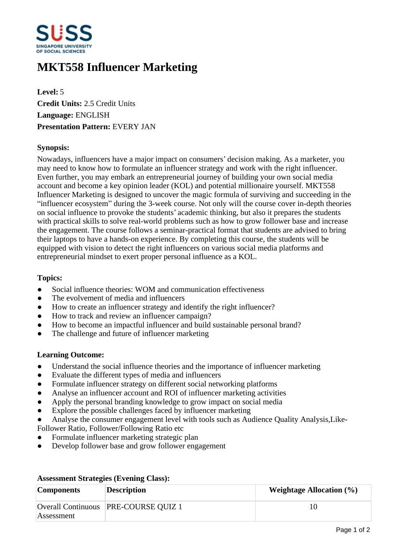

# **MKT558 Influencer Marketing**

**Level:** 5 **Credit Units:** 2.5 Credit Units **Language:** ENGLISH **Presentation Pattern:** EVERY JAN

### **Synopsis:**

Nowadays, influencers have a major impact on consumers' decision making. As a marketer, you may need to know how to formulate an influencer strategy and work with the right influencer. Even further, you may embark an entrepreneurial journey of building your own social media account and become a key opinion leader (KOL) and potential millionaire yourself. MKT558 Influencer Marketing is designed to uncover the magic formula of surviving and succeeding in the "influencer ecosystem" during the 3-week course. Not only will the course cover in-depth theories on social influence to provoke the students' academic thinking, but also it prepares the students with practical skills to solve real-world problems such as how to grow follower base and increase the engagement. The course follows a seminar-practical format that students are advised to bring their laptops to have a hands-on experience. By completing this course, the students will be equipped with vision to detect the right influencers on various social media platforms and entrepreneurial mindset to exert proper personal influence as a KOL.

#### **Topics:**

- Social influence theories: WOM and communication effectiveness
- The evolvement of media and influencers
- How to create an influencer strategy and identify the right influencer?
- How to track and review an influencer campaign?
- How to become an impactful influencer and build sustainable personal brand?
- The challenge and future of influencer marketing

#### **Learning Outcome:**

- Understand the social influence theories and the importance of influencer marketing
- Evaluate the different types of media and influencers
- Formulate influencer strategy on different social networking platforms
- Analyse an influencer account and ROI of influencer marketing activities
- Apply the personal branding knowledge to grow impact on social media
- Explore the possible challenges faced by influencer marketing
- Analyse the consumer engagement level with tools such as Audience Quality Analysis, Like-
- Follower Ratio, Follower/Following Ratio etc
- Formulate influencer marketing strategic plan
- ƔDevelop follower base and grow follower engagement

| <b>Components</b> | <b>Description</b>                     | Weightage Allocation $(\% )$ |
|-------------------|----------------------------------------|------------------------------|
| Assessment        | Overall Continuous   PRE-COURSE QUIZ 1 |                              |

## **Assessment Strategies (Evening Class):**